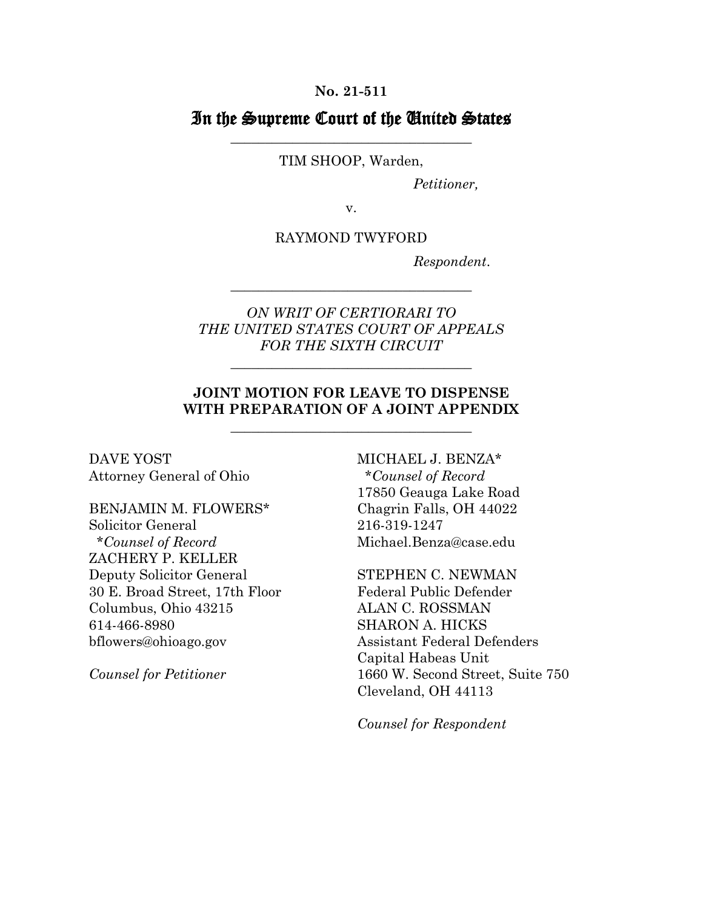#### **No. 21-511**

# In the Supreme Court of the United States \_\_\_\_\_\_\_\_\_\_\_\_\_\_\_\_\_\_\_\_\_\_\_\_\_\_\_\_\_\_\_\_\_\_\_

### TIM SHOOP, Warden,

*Petitioner,*

v.

RAYMOND TWYFORD

*Respondent*.

## *ON WRIT OF CERTIORARI TO THE UNITED STATES COURT OF APPEALS FOR THE SIXTH CIRCUIT*

\_\_\_\_\_\_\_\_\_\_\_\_\_\_\_\_\_\_\_\_\_\_\_\_\_\_\_\_\_\_\_\_\_\_\_

\_\_\_\_\_\_\_\_\_\_\_\_\_\_\_\_\_\_\_\_\_\_\_\_\_\_\_\_\_\_\_\_\_\_\_

## **JOINT MOTION FOR LEAVE TO DISPENSE WITH PREPARATION OF A JOINT APPENDIX**

\_\_\_\_\_\_\_\_\_\_\_\_\_\_\_\_\_\_\_\_\_\_\_\_\_\_\_\_\_\_\_\_\_\_\_

DAVE YOST Attorney General of Ohio

BENJAMIN M. FLOWERS\* Solicitor General \**Counsel of Record* ZACHERY P. KELLER Deputy Solicitor General 30 E. Broad Street, 17th Floor Columbus, Ohio 43215 614-466-8980 bflowers@ohioago.gov

*Counsel for Petitioner* 

MICHAEL J. BENZA\* \**Counsel of Record* 17850 Geauga Lake Road Chagrin Falls, OH 44022 216-319-1247 Michael.Benza@case.edu

STEPHEN C. NEWMAN Federal Public Defender ALAN C. ROSSMAN SHARON A. HICKS Assistant Federal Defenders Capital Habeas Unit 1660 W. Second Street, Suite 750 Cleveland, OH 44113

*Counsel for Respondent*